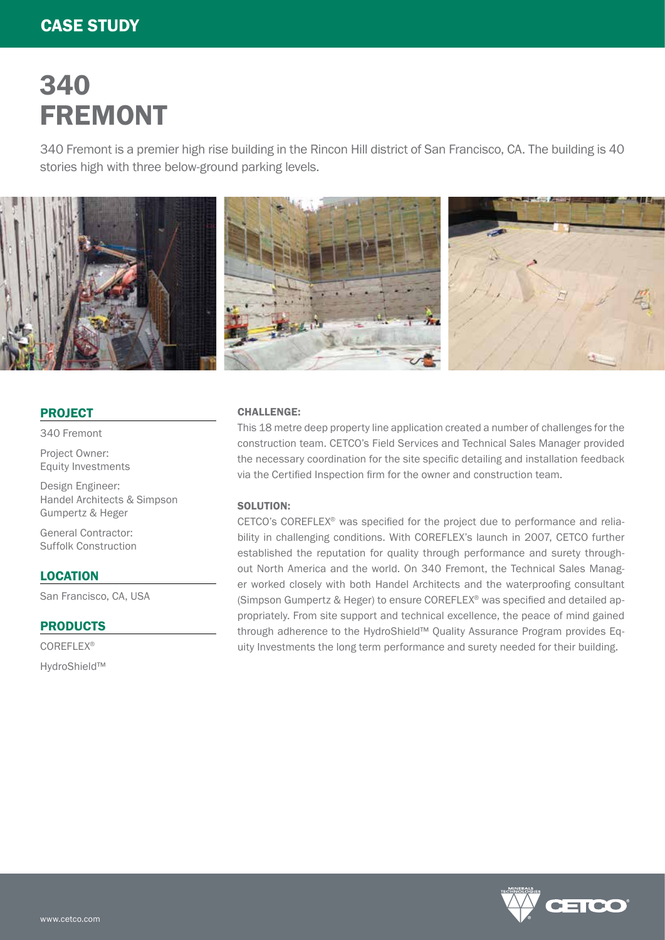# 340 FREMONT

340 Fremont is a premier high rise building in the Rincon Hill district of San Francisco, CA. The building is 40 stories high with three below-ground parking levels.



### PROJECT

340 Fremont

Project Owner: Equity Investments

Design Engineer: Handel Architects & Simpson Gumpertz & Heger

General Contractor: Suffolk Construction

### **LOCATION**

San Francisco, CA, USA

PRODUCTS

COREFLEX® HydroShield™

# CHALLENGE:

This 18 metre deep property line application created a number of challenges for the construction team. CETCO's Field Services and Technical Sales Manager provided the necessary coordination for the site specific detailing and installation feedback via the Certified Inspection firm for the owner and construction team.

# SOLUTION:

CETCO's COREFLEX® was specified for the project due to performance and reliability in challenging conditions. With COREFLEX's launch in 2007, CETCO further established the reputation for quality through performance and surety throughout North America and the world. On 340 Fremont, the Technical Sales Manager worked closely with both Handel Architects and the waterproofing consultant (Simpson Gumpertz & Heger) to ensure COREFLEX® was specified and detailed appropriately. From site support and technical excellence, the peace of mind gained through adherence to the HydroShield™ Quality Assurance Program provides Equity Investments the long term performance and surety needed for their building.